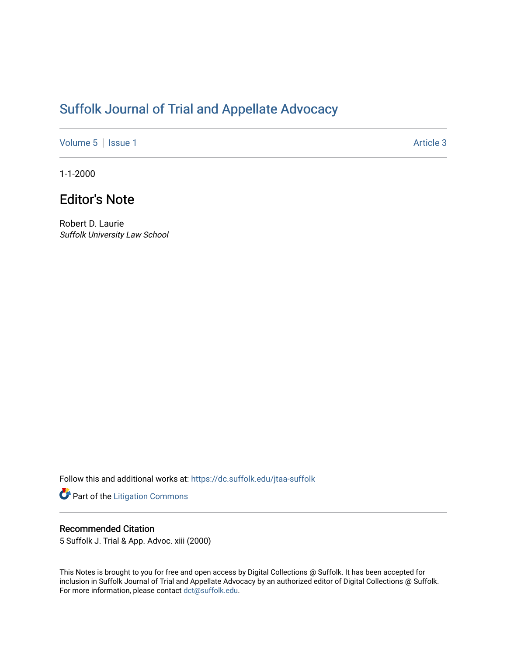# [Suffolk Journal of Trial and Appellate Advocacy](https://dc.suffolk.edu/jtaa-suffolk)

[Volume 5](https://dc.suffolk.edu/jtaa-suffolk/vol5) | [Issue 1](https://dc.suffolk.edu/jtaa-suffolk/vol5/iss1) Article 3

1-1-2000

## Editor's Note

Robert D. Laurie Suffolk University Law School

Follow this and additional works at: [https://dc.suffolk.edu/jtaa-suffolk](https://dc.suffolk.edu/jtaa-suffolk?utm_source=dc.suffolk.edu%2Fjtaa-suffolk%2Fvol5%2Fiss1%2F3&utm_medium=PDF&utm_campaign=PDFCoverPages) 

Part of the [Litigation Commons](https://network.bepress.com/hgg/discipline/910?utm_source=dc.suffolk.edu%2Fjtaa-suffolk%2Fvol5%2Fiss1%2F3&utm_medium=PDF&utm_campaign=PDFCoverPages)

#### Recommended Citation

5 Suffolk J. Trial & App. Advoc. xiii (2000)

This Notes is brought to you for free and open access by Digital Collections @ Suffolk. It has been accepted for inclusion in Suffolk Journal of Trial and Appellate Advocacy by an authorized editor of Digital Collections @ Suffolk. For more information, please contact [dct@suffolk.edu](mailto:dct@suffolk.edu).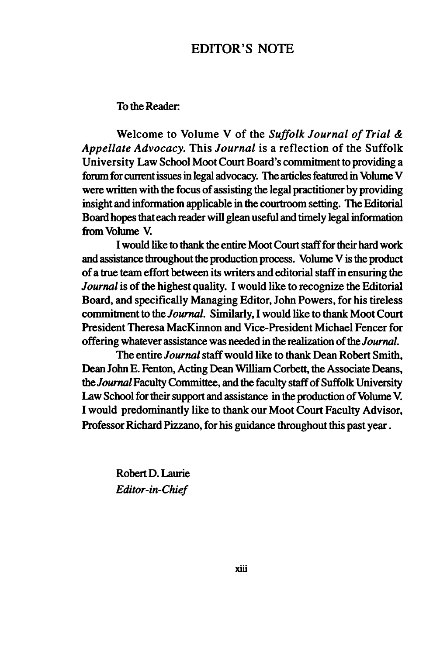### EDITOR'S **NOTE**

#### To the Reader

Welcome to Volume V of the *Suffolk Journal of Trial & Appellate Advocacy.* This *Journal* is a reflection of the Suffolk University Law School Moot Court Board's commitment to providing a forum for current issues in legal advocacy. The articles featured in Volume V were written with the focus of assisting the legal practitioner by providing insight and information applicable in the courtroom setting. The Editorial Board hopes that each reader will glean useful and timely legal information from Volume V.

I would like to thank the entire Moot Court staff for their hard work and assistance throughout the production process. Volume V is the product of a true team effort between its writers and editorial staff in ensuring the *Journal* is of the highest quality. I would like to recognize the Editorial Board, and specifically Managing Editor, John Powers, for his tireless commitment to the *Journal.* Similarly, I would like to thank Moot Court President Theresa MacKinnon and Vice-President Michael Fencer for offering whatever assistance was needed in the realization of the *Journal.*

The entire *Journal* staff would like to thank Dean Robert Smith, Dean John E. Fenton, Acting Dean William Corbett, the Associate Deans, *the Journal* Faculty Committee, and the faculty staff of Suffolk University Law School for their support and assistance in the production of Volume V. I would predominantly like to thank our Moot Court Faculty Advisor, Professor Richard Pizzano, for his guidance throughout this past year.

> Robert D. Laurie *Editor-in-Chief*